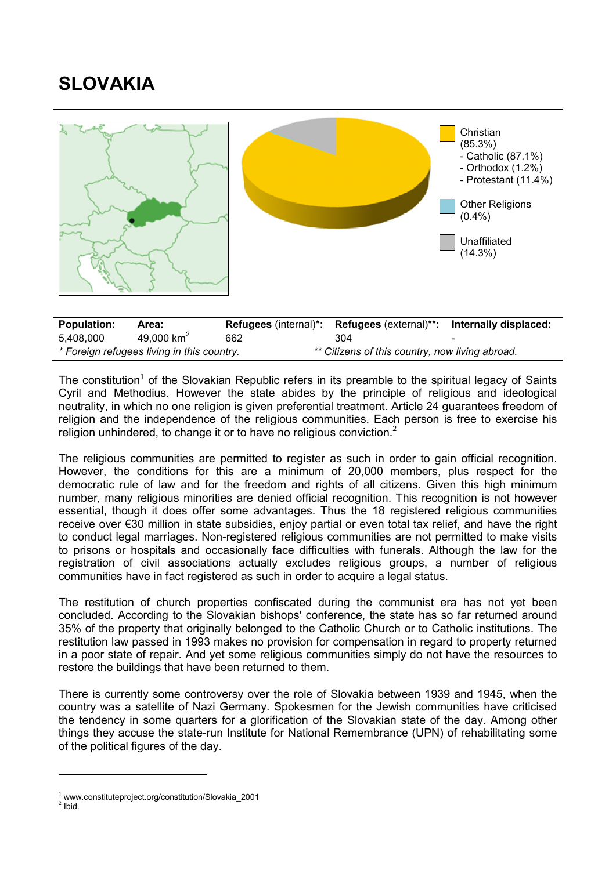## SLOVAKIA



| <b>Population:</b>                         | Area:                  |                                                 | <b>Refugees</b> (internal)*: <b>Refugees</b> (external)**: | Internally displaced: |
|--------------------------------------------|------------------------|-------------------------------------------------|------------------------------------------------------------|-----------------------|
| 5.408.000                                  | 49,000 km <sup>2</sup> | 662                                             | 304                                                        | -                     |
| * Foreign refugees living in this country. |                        | ** Citizens of this country, now living abroad. |                                                            |                       |

The constitution<sup>1</sup> of the Slovakian Republic refers in its preamble to the spiritual legacy of Saints Cyril and Methodius. However the state abides by the principle of religious and ideological neutrality, in which no one religion is given preferential treatment. Article 24 guarantees freedom of religion and the independence of the religious communities. Each person is free to exercise his religion unhindered, to change it or to have no religious conviction. $<sup>2</sup>$ </sup>

The religious communities are permitted to register as such in order to gain official recognition. However, the conditions for this are a minimum of 20,000 members, plus respect for the democratic rule of law and for the freedom and rights of all citizens. Given this high minimum number, many religious minorities are denied official recognition. This recognition is not however essential, though it does offer some advantages. Thus the 18 registered religious communities receive over €30 million in state subsidies, enjoy partial or even total tax relief, and have the right to conduct legal marriages. Non-registered religious communities are not permitted to make visits to prisons or hospitals and occasionally face difficulties with funerals. Although the law for the registration of civil associations actually excludes religious groups, a number of religious communities have in fact registered as such in order to acquire a legal status.

The restitution of church properties confiscated during the communist era has not yet been concluded. According to the Slovakian bishops' conference, the state has so far returned around 35% of the property that originally belonged to the Catholic Church or to Catholic institutions. The restitution law passed in 1993 makes no provision for compensation in regard to property returned in a poor state of repair. And yet some religious communities simply do not have the resources to restore the buildings that have been returned to them.

There is currently some controversy over the role of Slovakia between 1939 and 1945, when the country was a satellite of Nazi Germany. Spokesmen for the Jewish communities have criticised the tendency in some quarters for a glorification of the Slovakian state of the day. Among other things they accuse the state-run Institute for National Remembrance (UPN) of rehabilitating some of the political figures of the day.

 $2$  Ibid.

1

<sup>1</sup> www.constituteproject.org/constitution/Slovakia\_2001